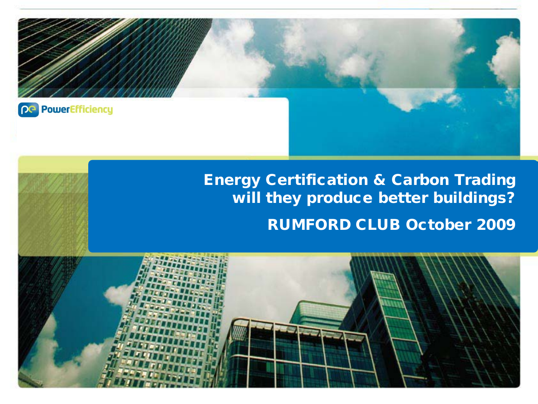

# Energy Certification & Carbon Trading will they produce better buildings? RUMFORD CLUB October 2009

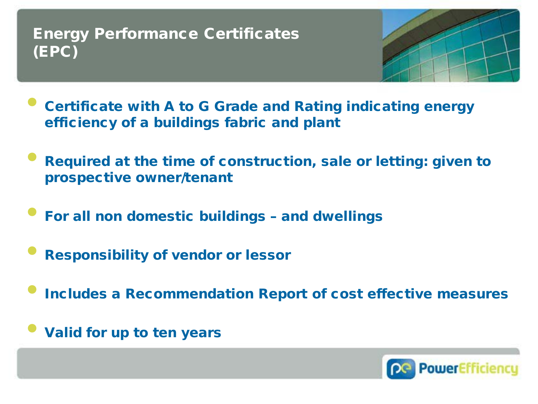### Energy Performance Certificates (EPC)



- Certificate with A to G Grade and Rating indicating energy efficiency of a buildings fabric and plant
- Required at the time of construction, sale or letting: given to prospective owner/tenant
- For all non domestic buildings and dwellings
- Responsibility of vendor or lessor
- Includes a Recommendation Report of cost effective measures
- Valid for up to ten years

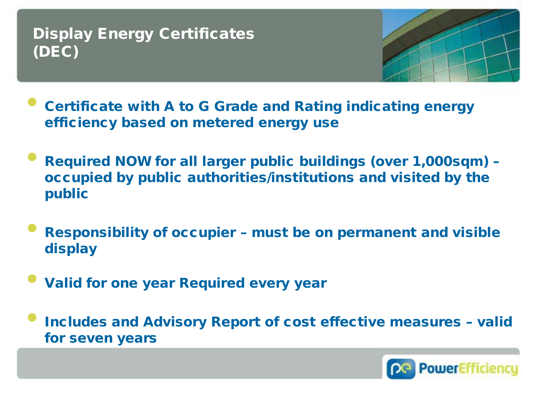## Display Energy Certificates (DEC)



- Certificate with A to G Grade and Rating indicating energy efficiency based on metered energy use
- Required NOW for all larger public buildings (over 1,000sqm) occupied by public authorities/institutions and visited by the public
- Responsibility of occupier must be on permanent and visible display
- Valid for one year Required every year
- Includes and Advisory Report of cost effective measures valid for seven years

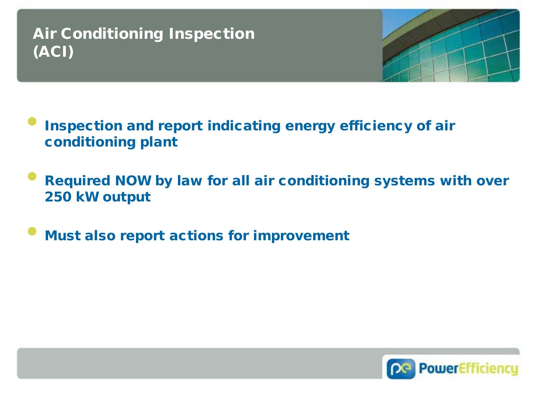## Air Conditioning Inspection (ACI)



- Inspection and report indicating energy efficiency of air conditioning plant
- Required NOW by law for all air conditioning systems with over 250 kW output
- **Must also report actions for improvement**